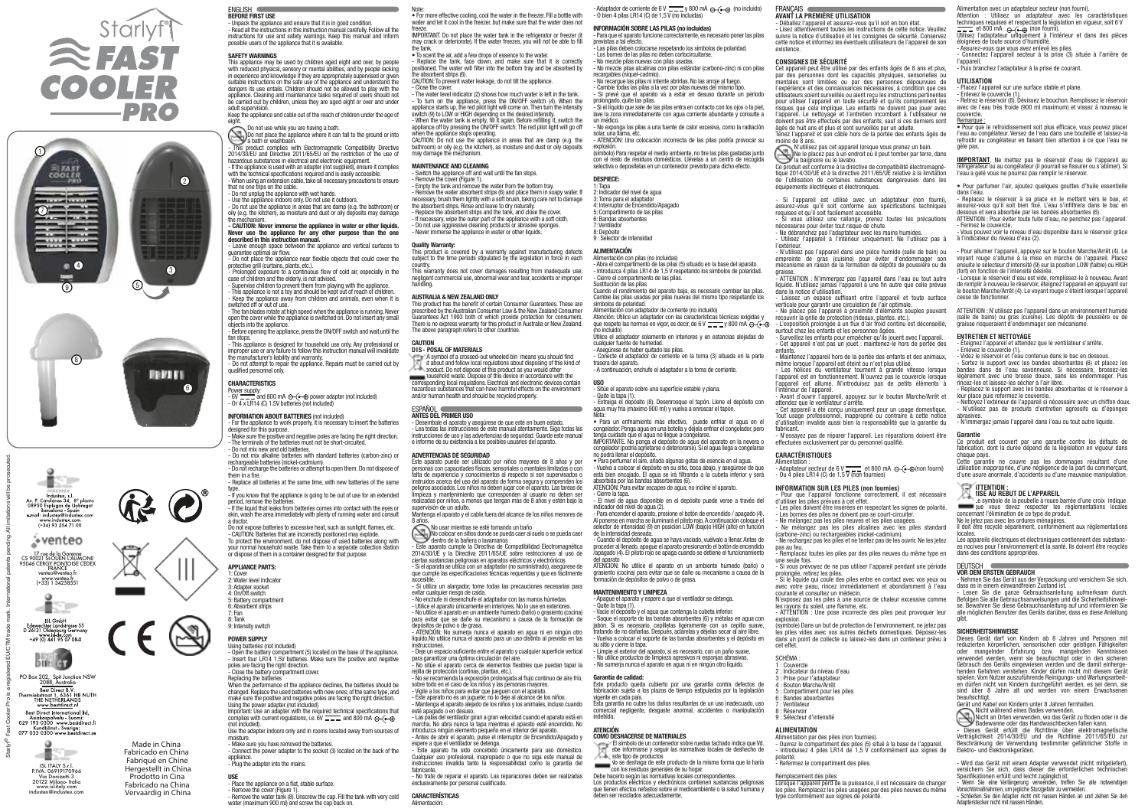- No recargue las pilas ni intente abrirlas. No las arroje al fuego. - Cambie todas las pilas a la vez por pilas nuevas del mismo tipo. Si prevé que el aparato va a estar en desuso durante un periodo

Atención: Utilice un adaptador con las características técnicas exigidas y que respete las normas en vigor, es decir, de 6 V  $\frac{1}{\sqrt{2}}$  y 800 mA  $\ominus$  ( $\ominus$ 

Para encender el aparato, presione el botón de encendido / apagado (4). Al ponerse en marcha se iluminará el piloto rojo. A continuación coloque el selector de intensidad (9) en posición LOW (bajo)o HIGH (alto) en función

- O bien 4 pilas LR14 (C) de 1,5 V (no incluidas) INFORMACIÓN SOBRE LAS PILAS (no incluidas)

El símbolo de un contenedor sobre ruedas tachado indica que Vd. debe informarse y seguir las normativas locales de deshecho de<br>Ideo informarse y seguir las normativas locales de deshecho de

- Para que el aparato funcione correctamente, es necesario poner las pilas

previstas a tal efecto.

- Las pilas deben colocarse respetando los símbolos de polaridad. - Los bornes de las pilas no deben cortocircuitarse. - No mezcle pilas nuevas con pilas usadas.

ENGLICH BEFORE FIRST USE

- No mezcle pilas alcalinas con pilas estándar (carbono-zinc) ni con pilas

recargables (níquel-cadmio).

prolongado, quite las pilas.

- Si el líquido que sale de las pilas entra en contacto con los ojos o la piel, lave la zona inmediatamente con agua corriente abundante y consulte a

un médico.

- No exponga las pilas a una fuente de calor excesiva, como la radiación

solar, una llama, etc.

This product complies with Electromagnetic Compatibility Directive 2014/30/EU and Directive 2011/65/EU on the restriction of the use of - ATENCIÓN: Una colocación incorrecta de las pilas podría provocar su

with the technical specifications required and is easily accessible. - When using an extension cable, take all necessary precautions to ensure that no one trips on the cable.

explosión.

(símbolo) Para respetar el medio ambiente, no tire las pilas gastadas junto con el resto de residuos domésticos. Llévelas a un centro de recogida selectiva o deposítelas en un contenedor previsto para dicho efecto.

DESPIECE:

Leave enough space between the appliance and vertical surfaces to guarantee optimal air flow.

1: Tapa 2: Indicador del nivel de agua 3: Toma para el adaptador 4: Interruptor de Encendido/Apagado 5: Compartimento de las pilas 6: Bandas absorbentes 7: Ventilador 8: Depósito 9 : Selector de intensidad ALIMENTACIÓN

Alimentación con pilas (no incluidas)

- Abra el compartimento de las pilas (5) situado en la base del aparato. - Introduzca 4 pilas LR14 de 1,5 V respetando los símbolos de polaridad.

switched off or out of use. - The fan blades rotate at high speed when the appliance is running. Never open the cover while the appliance is switched on. Do not insert any small

- Cierre el compartimento de las pilas. Sustitución de las pilas

Cuando el rendimiento del aparato baja, es necesario cambiar las pilas. Cambie las pilas usadas por pilas nuevas del mismo tipo respetando los

símbolos de polaridad.

(no incluido)

Alimentación con adaptador de corriente (no incluido)

Utilice el adaptador solamente en interiores y en estancias alejadas de

- Do not recharge the batteries or attempt to open them. Do not dispose of them in a fir

cualquier fuente de humedad. - Asegúrese de haber quitado las pilas.

- Conecte el adaptador de corriente en la toma (3) situada en la parte

trasera del aparato.

- A continuación, enchufe el adaptador a la toma de corriente.

USO

- Sitúe el aparato sobre una superficie estable y plana.

- Quite la tapa (1).

- Extraiga el depósito (8). Desenrosque el tapón. Llene el depósito con agua muy fría (máximo 900 ml) y vuelva a enroscar el tapón.

Nota:

7: Fan 8: Tank 9<sup>-</sup> Intensity switch

• Para un enfriamiento más efectivo, puede enfriar el agua en el congelador. Ponga agua en una botella y déjela enfriar el congelador, pero tenga cuidado que el agua no llegue a congelarse. IMPORTANTE. No ponga el depósito de agua del aparato en la nevera o congelador (podría agrietarse o deteriorarse). Si el agua llega a congelarse

Using the power adapter (not included) Important: Use an adapter with the required technical specifications that complies with current regulations, i.e.  $6V =$  and 800 mA  $\ominus$  ( $\ominus$ )

no podrá llenar el depósito.

• Para perfumar el aire, añada algunas gotas de esencia en el agua. - Vuelva a colocar el depósito en su sitio, boca abajo, y asegúrese de que está bien encajado. El agua se irá filtrando a la cubeta inferior y será

absorbida por las bandas absorbentes (6).

ATENCIÓN: Para evitar escapes de agua, no incline el aparato.

- Cierre la tapa.

- El nivel de agua disponible en el depósito puede verse a través del

indicador del nivel de agua (2).

Replace the tank, face down, and make sure that it is correctly positioned. The water will filter into the bottom tray and be absorbed by the absorbent strips (6).

de la intensidad deseada.

- When the water tank is empty, fill it again. Before refilling it, switch the appliance off by pressing the ON/OFF switch. The red pilot light will go off when the appliance stops operating.

- Switch the appliance off and wait until the fan stops. - Remove the cover (Figure 1).

> - Cuando el depósito de agua se haya vaciado, vuélvalo a llenar. Antes de proceder al llenado, apague el aparato presionando el botón de encendido /apagado (4). El piloto rojo se apaga cuando se detiene el funcionamiento del aparato ATENCION: No utilice el aparato en un ambiente húmedo (baño) o grasiento (cocina) para evitar que se dañe su mecanismo a causa de la formación de depósitos de polvo o de grasa.

MANTENIMIENTO Y LIMPIEZA

Quite la tapa (1).

su sitio y cierre la tapa

- Apague el aparato y espere a que el ventilador se detenga.

This product has the benefit of certain Consumer Guarantees. These are prescribed by the Australian Consumer Law & the New Zealand Consumer Guarantees Act 1993 both of which provide protection for consumers. There is no express warranty for this product in Australia or New Zealand. The above paragraph refers to other countries.

> - Vacíe el depósito y el agua que contenga la cubeta inferior. - Saque el soporte de las bandas absorbentes (6) y métalas en agua con jabón. Si es necesario, cepíllelas ligeramente con un cepillo suave, tratando de no dañarlas. Después, aclárelas y déjelas secar al aire libre. - Vuelva a colocar el soporte de las bandas absorbentes y el depósito en

- Limpie el exterior del aparato, si es necesario, con un paño suave. - No utilice productos de limpieza agresivos ni esponjas abrasivas. - No sumerja nunca el aparato en agua ni en ningún otro líquido.

Garantía de calidad:

Este producto queda cubierto por una garantía contra defectos de fabricación sujeta a los plazos de tiempo estipulados por la legislación

vigente en cada país.

Esta garantía no cubre los daños resultantes de un uso inadecuado, uso comercial negligente, desgaste anormal, accidentes o manipulación

indebida. ATENCIÓN

COMO DESHACERSE DE MATERIALES

No usar mientras se esté tomando un baño No usar mientras se esté tomando un baño<br>No colocar en sitios donde se pueda caer al suelo o se pueda caer<br>dentro de la bañera o lavamanos

este tipo de productos

No se deshaga de este producto de la misma forma que lo haría

con los residuos generales de su hogar. Debe hacerlo según las normativas locales correspondientes. Los productos eléctricos y electrónicos contienen sustancias peligrosas que tienen efectos nefastos sobre el medioambiente o la salud humana y

- evitar cualquier riesgo de caída.
- No enchufe ni desenchufe el adaptador con las manos húmedas. Utilice el aparato únicamente en interiores. No lo use en exteriores.

deben ser reciclados adecuadamente.

- Unpack the appliance and ensure that it is in good condition. - Read all the instructions in this instruction manual carefully. Follow all the instructions for use and safety warnings. Keep this manual and inform possible users of the appliance that it is available.

### SAFETY WARNINGS

This appliance may be used by children aged eight and over, by people with reduced physical, sensory or mental abilities, and by people lacking in reduced priyered, centerly or memal democry and by people detailing<br>in experience and knowledge if they are appropriately supervised or given suitable instructions on the safe use of the appliance and understand the dangers its use entails. Children should not be allowed to play with the appliance. Cleaning and maintenance tasks required of users should not be carried out by children, unless they are aged eight or over and under adult supervision. Keep the appliance and cable out of the reach of children under the age of

eight. Do not use while you are having a bath. Do not place the appliance where it can fall to the ground or into a bath or washbasin.

hazardous substances in electrical and electronic equipment. - If the appliance is used with an adapter (not supplied), ensure it complies

- Do not unplug the appliance with wet hands.

- Use the appliance indoors only. Do not use it outdoors. - Do not use the appliance in areas that are damp (e.g. the bathroom) or oily (e.g. the kitchen), as moisture and dust or oily deposits may damage

the mechanism. - CAUTION: Never immerse the appliance in water or other liquids. Never use the appliance for any other purpose than the one described in this instruction manual.

Si l'appareil est utilisé avec un adaptateur (non fourni). assurez-vous qu'il soit conforme aux spécifications techniques requises et qu'il soit facilement accessible. - Si vous utilisez une rallonge, prenez toutes les précautions

- Do not place the appliance near flexible objects that could cover the protective grill (curtains, plants, etc.).

- Prolonged exposure to a continuous flow of cold air, especially in the case of children and the elderly, is not advised. - Supervise children to prevent them from playing with the appliance.

- This appliance is not a toy and should be kept out of reach of children. - Keep the appliance away from children and animals, even when it is

objects into the appliance. - Before opening the appliance, press the ON/OFF switch and wait until the fan stops.

> - N'essayez pas de réparer l'appareil. Les réparations doivent être effectuées exclusivement par du personnel qualifié

- Adaptateur secteur de 6 V = et 800 mA ⊝ (• ⊕ (non fourni)<br>- Ou 4 piles LR14 (C) de 1,5 V (non fournies)

- This appliance is designed for household use only. Any professional or improper use or any failure to follow this instruction manual will invalidate

> Pour que l'appareil fonctionne correctement, il est nécessaire d'utiliser les piles prévues à cet effet.

the manufacturer's liability and warranty. - Do not attempt to repair the appliance. Repairs must be carried out by qualified personnel only.

### **CHARACTERISTICS**

Powe<u>r supp</u>ly:<br>- 6V = = = and 800 mA ⊖-⊕ ⊕ power adapter (not included)<br>- 0r 4 x LR14 (C) 1.5V batteries (not included)

Les piles doivent être insérées en respectant les signes de polarité. Les bornes des piles ne doivent pas se court-circuiter. - Ne mélangez pas les piles neuves et les piles usagées.

Ne mélangez pas les piles alcalines avec les piles standard (carbone-zinc) ou rechargeables (nickel-cadmium).

- Ne rechargez pas les piles et ne tentez pas de les ouvrir. Ne les jetez

### INFORMATION ABOUT BATTERIES (not included)

- For the appliance to work properly, it is necessary to insert the batteries

designed for this purpose. - Make sure the positive and negative poles are facing the right direction. - The terminals of the batteries must not be short-circuited. - Do not mix new and old batteries.

- Do not mix alkaline batteries with standard batteries (carbon-zinc) or rechargeable batteries (nickel-cadmium).

- Replace all batteries at the same time, with new batteries of the same

type. - If you know that the appliance is going to be out of use for an extended period, remove the batteries. - If the liquid that leaks from batteries comes into contact with the eyes or skin, wash the area immediately with plenty of running water and consult

a doctor. Do not expose batteries to excessive heat, such as sunlight, flames, etc. - CAUTION: Batteries that are incorrectly positioned may explode. To protect the environment, do not dispose of used batteries along with avec de l'eau très froide (900 ml maximum) et vissez à nouveau le couvercle. **Remarque** 

## your normal household waste. Take them to a separate collection station or dispose of them in a container designed for that purpose.

# APPLIANCE PARTS:

1: Cover 2: Water level indicator 3: Adapter socket

4: On/Off switch 5: Battery compartment

6: Absorbent strips

# POWER SUPPLY

Using batteries (not included) - Open the battery compartment (5) located on the base of the appliance. - Insert four LR14 1.5V batteries. Make sure the positive and negative poles are facing the right direction. - Close the battery compartment cover.

Replacing the batteries When the performance of the appliance declines, the batteries should be changed. Replace the used batteries with new ones, of the same type, and make sure the positive and negative poles are facing the right direction.

(not included). Use the adapter indoors only and in rooms located away from sources of moisture.

- Make sure you have removed the batteries.

- Connect the power adapter to the socket (3) located on the back of the appliance. - Plug the adapter into the mains.

USE - Place the appliance on a flat, stable surface.

Cette garantie ne couvre pas les dommages résultant d'une utilisation inappropriée, d'une négligence de la part du commerçant, d'une usure anormale, d'accidents ou d'une mauvaise manipulation.

- Remove the cover (Figure 1). - Remove the water tank (8). Unscrew the cap. Fill the tank with very cold

water (maximum 900 ml) and screw the cap back on.

Note:

locales.<br>Les annareils électriques et électroniques contiennent des substanc Les appareils électriques et électroniques contiennent des substanc- es nocives pour l'environnement et la santé. Ils doivent être recyclés

• For more effective cooling, cool the water in the freezer. Fill a bottle with water and let it cool in the freezer, but make sure that the water does not

freeze. IMPORTANT. Do not place the water tank in the refrigerator or freezer (it may crack or deteriorate). If the water freezes, you will not be able to fill - Adaptador de corriente de 6 V  $\overline{---}$  y 800 mA  $\ominus$  ( $\overline{---}$  (no incluido)

Dieses Gerät darf von Kindern ab 8 Jahren und Personen mit reduzierten körperlichen, sensorischen oder geistigen Fähigkeiten oder mangelnder Erfahrung bzw. mangelnden Kenntnissen verwendet werden, wenn sie beaufsichtigt oder in den sicheren Gebrauch des Geräts eingewiesen werden und die damit einherge-Gebrauch des Geräts eingewiesen werden und die damit einherge- henden Gefahren verstehen. Kinder dürfen nicht mit diesem Gerät spielen. Vom Nutzer auszuführende Reinigungs- und Wartungsarbeit- en dürfen nicht von Kindern durchgeführt werden, es sei denn, sie sind über 8 Jahre alt und werden von einem Erwachsenen heaufsichtin

the tank. • To scent the air, add a few drops of essence to the water.

CAUTION: To prevent water leakage, do not tilt the appliance. - Close the cover.

- The water level indicator (2) shows how much water is left in the tank. - To turn on the appliance, press the ON/OFF switch (4). When the appliance starts up, the red pilot light will come on. Then turn the intensity switch (9) to LOW or HIGH depending on the desired intensity.

CAUTION: Do not use the appliance in areas that are damp (e.g. the bathroom) or oily (e.g. the kitchen), as moisture and dust or oily deposits may damage the mechanism.

### MAINTENANCE AND CLEANING

- Empty the tank and remove the water from the bottom tray. - Remove the water absorbent strips (6) and place them in soapy water. If

necessary, brush them lightly with a soft brush, taking care not to damage the absorbent strips. Rinse and leave to dry naturally.

- Replace the absorbent strips and the tank, and close the cover. - If necessary, wipe the outer part of the appliance with a soft cloth.

- Do not use aggressive cleaning products or abrasive sponges.

- Never immerse the appliance in water or other liquids.

### Quality Warranty:

This product is covered by a warranty against manufacturing defects subject to the time periods stipulated by the legislation in force in each country.

This warranty does not cover damages resulting from inadequate use, negligent commercial use, abnormal wear and tear, accidents or improper handling.

### AUSTRALIA & NEW ZEALAND ONLY

#### CAUTION DIS- POSAL OF MATERIALS

 A symbol of a crossed-out wheeled bin means you should find out about and follow local regulations about disposing of this kind of

product. Do not dispose of this product as you would other household waste. Dispose of this device in accordance with the corresponding local regulations. Electrical and electronic devices contain hazardous substances that can have harmful effects on the environment and/or human health and should be recycled properly.

ESPAÑOL

## ANTES DEL PRIMER USO

- Desembale el aparato y asegúrese de que esté en buen estado. - Lea todas las instrucciones de este manual atentamente. Siga todas las instrucciones de uso y las advertencias de seguridad. Guarde este manual e informe de su existencia a los posibles usuarios del aparato.

### ADVERTENCIAS DE SEGURIDAD

Este aparato puede ser utilizado por niños mayores de 8 años y por personas con capacidades físicas, sensoriales o mentales limitadas o con falta de experiencia y conocimientos al respecto si son supervisados o instruidos acerca del uso del aparato de forma segura y comprenden los peligros asociados. Los niños no deben jugar con el aparato. Las tareas de limpieza y mantenimiento que corresponden al usuario no deben ser realizadas por niños, a menos que tengan más de 8 años y estén bajo la supervisión de un adulto. Mantenga el aparato y el cable fuera del alcance de los niños menores de

8 años.

dentro de la bañera o lavamanos - Este aparato cumple la Directiva de Compatibilidad Electromagnética

2014/30/UE y la Directiva 2011/65/UE sobre restricciones al uso de ciertas sustancias peligrosas en aparatos eléctricos y electrónicos. - Si el aparato se utiliza con un adaptador (no suministrado), asegúrese de que cumple las especificaciones técnicas requeridas y que es fácilmente

accesible. - Si utiliza un alargador, tome todas las precauciones necesarias para

- No utilice el aparato en un ambiente húmedo (baño) o grasiento (cocina) para evitar que se dañe su mecanismo a causa de la formación de depósitos de polvo o de grasa.

- ATENCIÓN: No sumerja nunca el aparato en agua ni en ningún otro líquido.No utilice nunca el aparato para un uso distinto al previsto en las

instrucciones. - Deje un espacio suficiente entre el aparato y cualquier superficie vertical para garantizar una óptima circulación del aire. - No sitúe el aparato cerca de elementos flexibles que puedan tapar la

rejilla de protección (cortinas, plantas, etc.).

- No se recomienda la exposición prolongada al flujo continuo de aire frío, sobre todo en el caso de los niños y las personas mayores. - Vigile a los niños para evitar que jueguen con el aparato. Este aparato no es un juguete: no lo deje al alcance de los niños. - Mantenga el aparato alejado de los niños y los animales, incluso cuando

esté apagado o en desuso.

- Las palas del ventilador giran a gran velocidad cuando el aparato está en marcha. No abra nunca la tapa mientras el aparato esté encendido. No introduzca ningún elemento pequeño en el interior del aparato. - Antes de abrir el aparato, pulse el interruptor de Encendido/Apagado y espere a que el ventilador se detenga. - Este aparato ha sido concebido únicamente para uso doméstico. Cualquier uso profesional, inapropiado o que no siga este manual de instrucciones invalida tanto la responsabilidad como la garantía del

fabricante.

- No trate de reparar el aparato. Las reparaciones deben ser realizadas

exclusivamente por personal cualificado.

CARACTERÍSTICAS Alimentación:

Made in China

Fabricado en China Fabriqué en Chine Hergestellt in China Prodotto in Cina Fabricado na China Vervaardig in China

Starlyf® Fast Cooler Pro is a registered EU/CTM trade mark. International patents pending. All imitations will be prosecuted.



PO Box 202, Spit Junction NSW<br>2088, Australia<br>Best Direct B.V.<br>Thermiekstraat 1, 6361 HB NUTH<br>THE NETHERLANDS Www.bestdirect.nl Best Direct International Itd. Asiakaspalvelu - Suomi:<br>029 193 0300 www.bestdirect.fi<br>Kundtjänst - Sverige:<br>077 033 0300 www.bestdirect.se



ISL ITALY S.r.l. P.IVA: 06919170966 Via Donizetti 3 20122 Milano- Italia www.isl-italy.com industex@industex.com



Y.

Industex, s.l.<br>Av. P. Catalanes 34, 8° planta<br>08950 Esplugas de Llobregat<br>Barcelona - Spain<br>e-mail: industex@industex.com www.industex.com<br>434 93 254 71 00



ISL GmbH<br>Edewechter Landstrasse 55<br>D 26131 Oldenburg Germar<br>+49 (0) 441 95 07 08 0

#### **AVANT LA PREMIÈRE UTILISATION** - Déballez l'appareil et assurez-vous qu'il soit en bon état.

FRANCAIS

- Lisez attentivement toutes les instructions de cette notice. Veuillez suivre la notice d'utilisation et les consignes de sécurité. Conservez cette notice et informez les éventuels utilisateurs de l'appareil de son

existence.

**CONSIGNES DE SÉCURITÉ**

Cet appareil peut être utilisé par des enfants âgés de 8 ans et plus, par des personnes dont les capacités physiques, sensorielles ou mentales sont limitées ou par des personnes dépourvues de l'expérience et des connaissances nécessaires, à condition que ces utilisateurs soient surveillés ou aient reçu les instructions pertinentes pour utiliser l'appareil en toute sécurité et qu'ils comprennent les risques que cela implique. Les enfants ne doivent pas jouer avec l'appareil. Le nettoyage et l'entretien incombant à l'utilisateur ne doivent pas être effectués par des enfants, sauf si ces derniers sont âgés de huit ans et plus et sont surveillés par un adulte. Tenez l'appareil et son câble hors de la portée des enfants âgés de

moins de 8 ans.

l'extérieur

N'utilisez pas cet appareil lorsque vous prenez un bain. Ne le placez pas à un endroit où il peut tomber par terre, dans la baignoire ou le lavabo.

Ce produit est conforme à la directive de compatibilité électromagné- tique 2014/30/UE et à la directive 2011/65/UE relative à la limitation de l'utilisation de certaines substances dangereuses dans les équipements électriques et électroniques.

nécessaires pour éviter tout risque de chute. - Ne débranchez pas l'adaptateur avec les mains humides.

- Utilisez l'appareil à l'intérieur uniquement. Ne l'utilisez pas à

- N'utilisez pas l'appareil dans une pièce humide (salle de bain) ou empreinte de gras (cuisine) pour éviter d'endommager son mécanisme en raison de la formation de dépôts de poussière ou de

graisse.

- ATTENTION : N'immergez pas l'appareil dans l'eau ou tout autre liquide. N'utilisez jamais l'appareil à une fin autre que celle prévue

dans la notice d'utilisation. - Laissez un espace suffisant entre l'appareil et toute surface verticale pour garantir une circulation de l'air optimale. - Ne placez pas l'appareil à proximité d'éléments souples pouvant

recouvrir la grille de protection (rideaux, plantes, etc.). - L'exposition prolongée à un flux d'air froid continu est déconseillé,

surtout chez les enfants et les personnes âgées. - Surveillez les enfants pour empêcher qu'ils jouent avec l'appareil.

enfants.

- Cet appareil n'est pas un jouet : maintenez-le hors de portée des - Maintenez l'appareil hors de la portée des enfants et des animaux,

même lorsque l'appareil est éteint ou n'est plus utilisé. - Les hélices du ventilateur tournent à grande vitesse lorsque l'appareil est en fonctionnement. N'ouvrez pas le couvercle lorsque

l'appareil est allumé. N'introduisez pas de petits éléments à

l'intérieur de l'appareil.

- Avant d'ouvrir l'appareil, appuyez sur le bouton Marche/Arrêt et attendez que le ventilateur s'arrête.

- Cet appareil a été conçu uniquement pour un usage domestique. Tout usage professionnel, inapproprié ou contraire à cette notice d'utilisation invalide aussi bien la responsabilité que la garantie du

fabricant.

**CARACTÉRISTIQUES** Alimentation :

### **INFORMATION SUR LES PILES (non fournies)**

pas au feu.

explosion

- Remplacez toutes les piles par des piles neuves du même type en

une seule fois.

- Si vous prévoyez de ne pas utiliser l'appareil pendant une période

prolongée, retirez les piles.

- Si le liquide qui coule des piles entre en contact avec vos yeux ou avec votre peau, rincez immédiatement et abondamment à l'eau

courante et consultez un médecin.

N'exposez pas les piles à une source de chaleur excessive comme les rayons du soleil, une flamme, etc.

- ATTENTION : Une pose incorrecte des piles peut provoquer leur

(symbole) Dans un but de protection de l'environnement, ne jetez pas les piles vides avec vos autres déchets domestiques. Déposez-les dans un point de collecte ou laissez-les dans un conteneur prévu à

cet effet. SCHÉMA : 1 : Couvercle

2 : Indicateur du niveau d'eau 3 : Prise pour l'adaptateur Bouton Marche/Arrêt 5 : Compartiment pour les piles 6 : Bandes absorbantes 7 : Ventilateur 8 : Réservoir 9 : Sélecteur d'intensité **ALIMENTATION**

Alimentation par des piles (non fournies).

- Ouvrez le compartiment des piles (5) situé à la base de l'appareil. - Introduisez 4 piles LR14 de 1,5 V conformément aux signes de - Refermez le compartiment des piles.

polarité.

Remplacement des piles

Lorsque l'appareil perd de la puissance, il est nécessaire de changer les piles. Remplacez les piles usagées par des piles neuves du même type conformément aux signes de polarité.

Alimentation avec un adaptateur secteur (non fourni).

Attention : Utilisez un adaptateur avec les caractéristiques techniques requises et respectant la législation en vigueur, soit 6 V

UNIEU et 800 mA  $\ominus$  ( $\ominus$  (non fourni).<br>Utilisez l'adaptateur uniquement à l'intérieur et dans des pièces<br>éloignées de toute source d'humidité.

assurez-vous que vous avez enlevé les piles. - Connectez l'appareil secteur à la prise (3) située à l'arrière de l'annareil

- Puis branchez l'adaptateur à la prise de courant.

### **UTILISATION**

- Placez l'appareil sur une surface stable et plane.

- Enlevez le couvercle (1). - Retirez le réservoir (8). Dévissez le bouchon. Remplissez le réservoir

• Pour que le refroidissement soit plus efficace, vous pouvez placer l'eau au congélateur. Versez de l'eau dans une bouteille et laissez-la refroidir au congélateur en faisant bien attention à ce que l'eau ne gèle pas.

**IMPORTANT**. Ne mettez pas le réservoir d'eau de l'appareil au réfrigérateur ou au congélateur (il pourrait se fissurer ou s'abîmer). Si l'eau a gelé vous ne pourrez pas remplir le réservoir.

• Pour parfumer l'air, ajoutez quelques gouttes d'huile essentielle dans l'eau.

- Replacez le réservoir à sa place en le mettant vers le bas, et assurez-vous qu'il soit bien fixé. L'eau s'infiltrera dans le bac en dessous et sera absorbée par les bandes absorbantes (6). ATTENTION : Pour éviter toute fuite d'eau, ne penchez pas l'appareil.

- Fermez le couvercle. - Vous pouvez voir le niveau d'eau disponible dans le réservoir grâce à l'indicateur du niveau d'eau (2).

- Pour allumer l'appareil, appuyez sur le bouton Marche/Arrêt (4). Le voyant rouge s'allume à la mise en marche de l'appareil. Placez ensuite le sélecteur d'intensité (9) sur la position LOW (faible) ou HIGH (fort) en fonction de l'intensité désirée.

- Lorsque le réservoir d'eau est vide, remplissez-le à nouveau. Avant de remplir à nouveau le réservoir, éteignez l'appareil en appuyant sur le bouton Marche/Arrêt (4). Le voyant rouge s'éteint lorsque l'appareil cesse de fonctionner.

ATTENTION : N'utilisez pas l'appareil dans un environnement humide (salle de bains) ou gras (cuisine). Les dépôts de poussière ou de graisse risqueraient d'endommager son mécanisme.

## **ENTRETIEN ET NETTOYAGE**

- Éteignez l'appareil et attendez que le ventilateur s'arrête. - Enlevez le couvercle (1).

- Videz le réservoir et l'eau contenue dans le bac en dessous.

- Sortez le support avec les bandes absorbantes (6) et placez les bandes dans de l'eau savonneuse. Si nécessaire, brossez-les légèrement avec une brosse douce, sans les endommager. Puis rincez-les et laissez-les sécher à l'air libre.

- Replacez le support avec les bandes absorbantes et le réservoir à leur place puis refermez le couvercle.

- Nettoyez l'extérieur de l'appareil si nécessaire avec un chiffon doux. - N'utilisez pas de produits d'entretien agressifs ou d'éponges abrasives.

- N'immergez jamais l'appareil dans l'eau ou tout autre liquide.

### **Garantie**

Ce produit est couvert par une garantie contre les défauts de fabrication, dont la durée dépend de la législation en vigueur dans chaque pays.

# **ATTENTION : MISE AU REBUT DE L'APPAREIL**

Le symbole de la poubelle à roues barrée d'une croix indique que vous devez respecter les réglementations locales concernant l'élimination de ce type de produit.

Ne le jetez pas avec les ordures ménagères. Il doit être recyclé séparément, conformément aux réglementations

dans des conditions appropriées.

### DEUTSCH

### VOR DEM ERSTEN GEBRAUCH

- Nehmen Sie das Gerät aus der Verpackung und versichern Sie sich, dass es in einem einwandfreien Zustand ist.

- Lesen Sie die ganze Gebrauchsanleitung aufmerksam durch. Befolgen Sie alle Gebrauchsanweisungen und die Sicherheitshinwei- se. Bewahren Sie diese Gebrauchsanleitung auf und informieren Sie alle möglichen Benutzer des Geräts darüber, dass es diese Anleitung gibt.

### SICHERHEITSHINWEISE

Gerät und Kabel von Kindern unter 8 Jahren fernhalten.

Nicht während eines Bades verwenden. Nicht an Orten verwenden, wo das Gerät zu Boden oder in die Badewanne oder das Handwaschbecken fallen kann. Dieses Gerät erfüllt die Richtlinie über elektromagnetische Verträglichkeit 2014/30/EU und die Richtlinie 2011/65/EU zur Beschränkung der Verwendung bestimmter gefährlicher Stoffe in

Elektro- und Elektronikgeräten.

- Wird das Gerät mit einem Adapter verwendet (nicht mitgeliefert), versichern Sie sich, dass dieser die erforderlichen technischen

Spezifikationen erfüllt und leicht zugänglich ist. - Wenn Sie eine Verlängerung verwenden, treffen Sie alle notwendigen Vorsichtsmaßnahmen, um jegliche Sturzgefahr zu vermeiden.

- Schließen Sie den Adapter nicht mit nassen Händen an und ziehen Sie den Adapterstecker nicht mit nassen Händen.